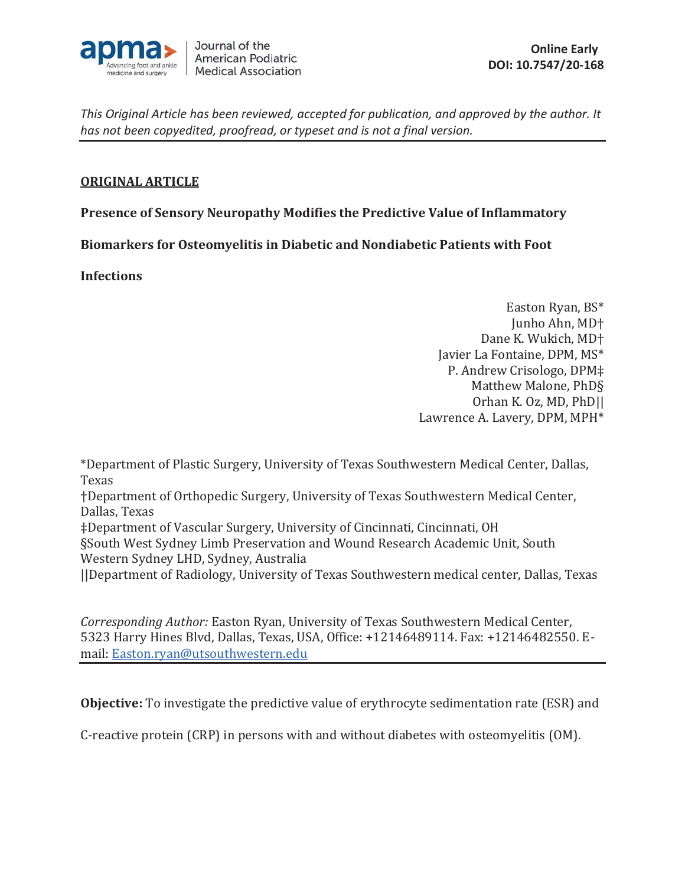

# **ORIGINAL ARTICLE**

**Presence of Sensory Neuropathy Modifies the Predictive Value of Inflammatory** 

**Biomarkers for Osteomyelitis in Diabetic and Nondiabetic Patients with Foot** 

**Infections** 

Easton Ryan, BS\* Junho Ahn, MD† Dane K. Wukich, MD† Javier La Fontaine, DPM, MS\* P. Andrew Crisologo, DPM‡ Matthew Malone, PhD§ Orhan K. Oz, MD, PhD|| Lawrence A. Lavery, DPM, MPH\*

\*Department of Plastic Surgery, University of Texas Southwestern Medical Center, Dallas, Texas

†Department of Orthopedic Surgery, University of Texas Southwestern Medical Center, Dallas, Texas

‡Department of Vascular Surgery, University of Cincinnati, Cincinnati, OH

§South West Sydney Limb Preservation and Wound Research Academic Unit, South Western Sydney LHD, Sydney, Australia

||Department of Radiology, University of Texas Southwestern medical center, Dallas, Texas

*Corresponding Author:* Easton Ryan, University of Texas Southwestern Medical Center, 5323 Harry Hines Blvd, Dallas, Texas, USA, Office: +12146489114. Fax: +12146482550. Email: Easton.ryan@utsouthwestern.edu

**Objective:** To investigate the predictive value of erythrocyte sedimentation rate (ESR) and

C-reactive protein (CRP) in persons with and without diabetes with osteomyelitis (OM).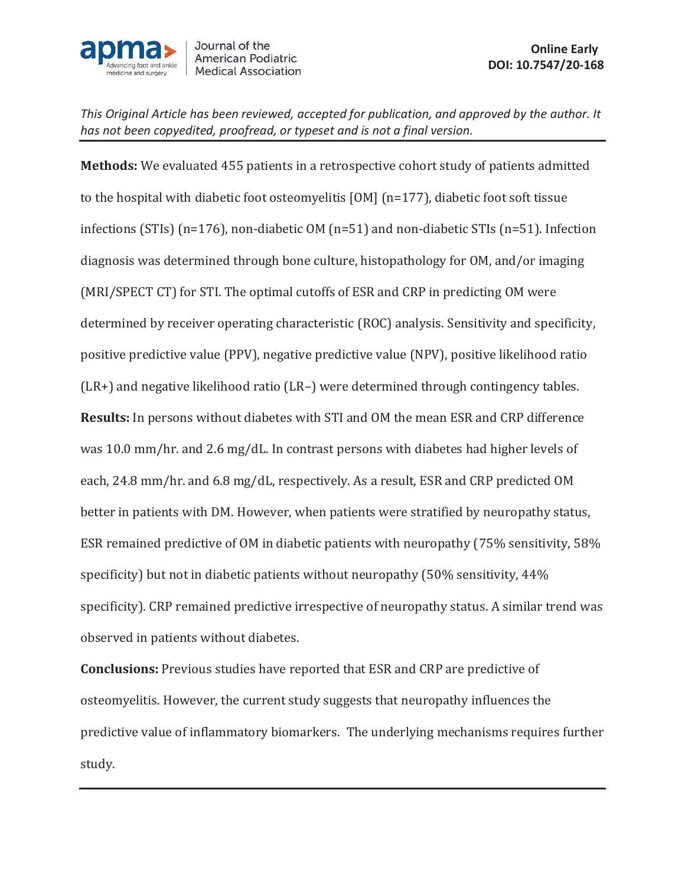

**Methods:** We evaluated 455 patients in a retrospective cohort study of patients admitted to the hospital with diabetic foot osteomyelitis [OM] (n=177), diabetic foot soft tissue infections (STIs) (n=176), non-diabetic OM (n=51) and non-diabetic STIs (n=51). Infection diagnosis was determined through bone culture, histopathology for OM, and/or imaging (MRI/SPECT CT) for STI. The optimal cutoffs of ESR and CRP in predicting OM were determined by receiver operating characteristic (ROC) analysis. Sensitivity and specificity, positive predictive value (PPV), negative predictive value (NPV), positive likelihood ratio (LR+) and negative likelihood ratio (LR–) were determined through contingency tables. **Results:** In persons without diabetes with STI and OM the mean ESR and CRP difference was 10.0 mm/hr. and 2.6 mg/dL. In contrast persons with diabetes had higher levels of each, 24.8 mm/hr. and 6.8 mg/dL, respectively. As a result, ESR and CRP predicted OM better in patients with DM. However, when patients were stratified by neuropathy status, ESR remained predictive of OM in diabetic patients with neuropathy (75% sensitivity, 58% specificity) but not in diabetic patients without neuropathy (50% sensitivity, 44% specificity). CRP remained predictive irrespective of neuropathy status. A similar trend was observed in patients without diabetes.

**Conclusions:** Previous studies have reported that ESR and CRP are predictive of osteomyelitis. However, the current study suggests that neuropathy influences the predictive value of inflammatory biomarkers. The underlying mechanisms requires further study.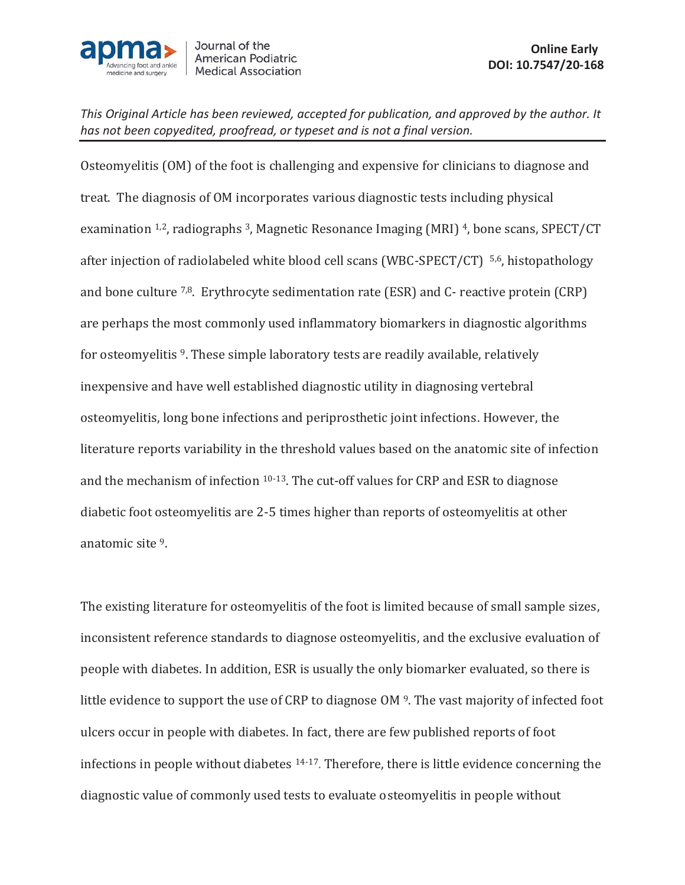

Osteomyelitis (OM) of the foot is challenging and expensive for clinicians to diagnose and treat. The diagnosis of OM incorporates various diagnostic tests including physical examination 1,2, radiographs 3, Magnetic Resonance Imaging (MRI) 4, bone scans, SPECT/CT after injection of radiolabeled white blood cell scans (WBC-SPECT/CT) 5,6, histopathology and bone culture  $7,8$ . Erythrocyte sedimentation rate (ESR) and C- reactive protein (CRP) are perhaps the most commonly used inflammatory biomarkers in diagnostic algorithms for osteomyelitis 9. These simple laboratory tests are readily available, relatively inexpensive and have well established diagnostic utility in diagnosing vertebral osteomyelitis, long bone infections and periprosthetic joint infections. However, the literature reports variability in the threshold values based on the anatomic site of infection and the mechanism of infection 10-13. The cut-off values for CRP and ESR to diagnose diabetic foot osteomyelitis are 2-5 times higher than reports of osteomyelitis at other anatomic site 9.

The existing literature for osteomyelitis of the foot is limited because of small sample sizes, inconsistent reference standards to diagnose osteomyelitis, and the exclusive evaluation of people with diabetes. In addition, ESR is usually the only biomarker evaluated, so there is little evidence to support the use of CRP to diagnose OM 9. The vast majority of infected foot ulcers occur in people with diabetes. In fact, there are few published reports of foot infections in people without diabetes 14-17. Therefore, there is little evidence concerning the diagnostic value of commonly used tests to evaluate osteomyelitis in people without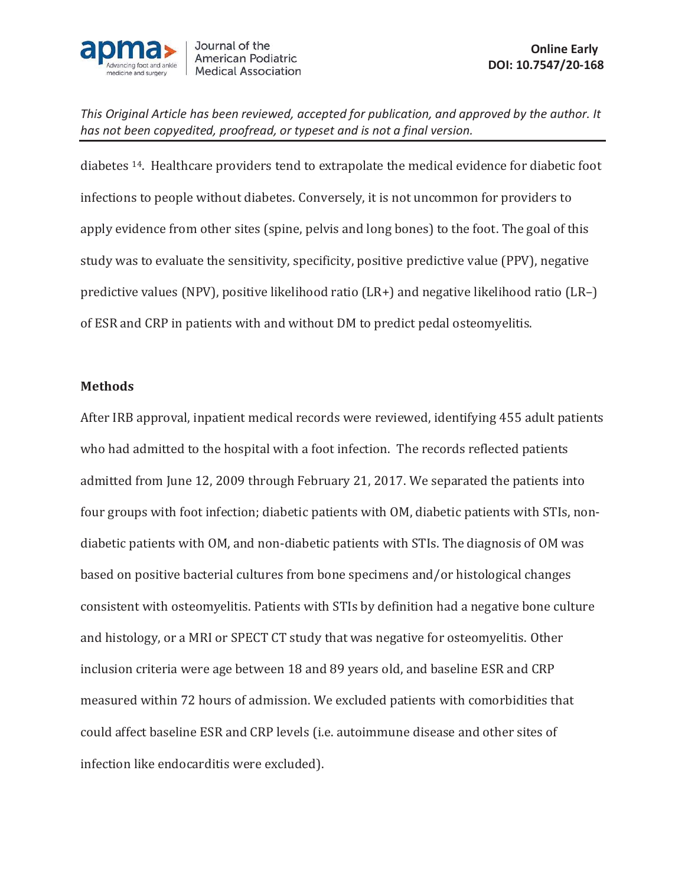

diabetes 14. Healthcare providers tend to extrapolate the medical evidence for diabetic foot infections to people without diabetes. Conversely, it is not uncommon for providers to apply evidence from other sites (spine, pelvis and long bones) to the foot. The goal of this study was to evaluate the sensitivity, specificity, positive predictive value (PPV), negative predictive values (NPV), positive likelihood ratio (LR+) and negative likelihood ratio (LR–) of ESR and CRP in patients with and without DM to predict pedal osteomyelitis.

### **Methods**

After IRB approval, inpatient medical records were reviewed, identifying 455 adult patients who had admitted to the hospital with a foot infection. The records reflected patients admitted from June 12, 2009 through February 21, 2017. We separated the patients into four groups with foot infection; diabetic patients with OM, diabetic patients with STIs, nondiabetic patients with OM, and non-diabetic patients with STIs. The diagnosis of OM was based on positive bacterial cultures from bone specimens and/or histological changes consistent with osteomyelitis. Patients with STIs by definition had a negative bone culture and histology, or a MRI or SPECT CT study that was negative for osteomyelitis. Other inclusion criteria were age between 18 and 89 years old, and baseline ESR and CRP measured within 72 hours of admission. We excluded patients with comorbidities that could affect baseline ESR and CRP levels (i.e. autoimmune disease and other sites of infection like endocarditis were excluded).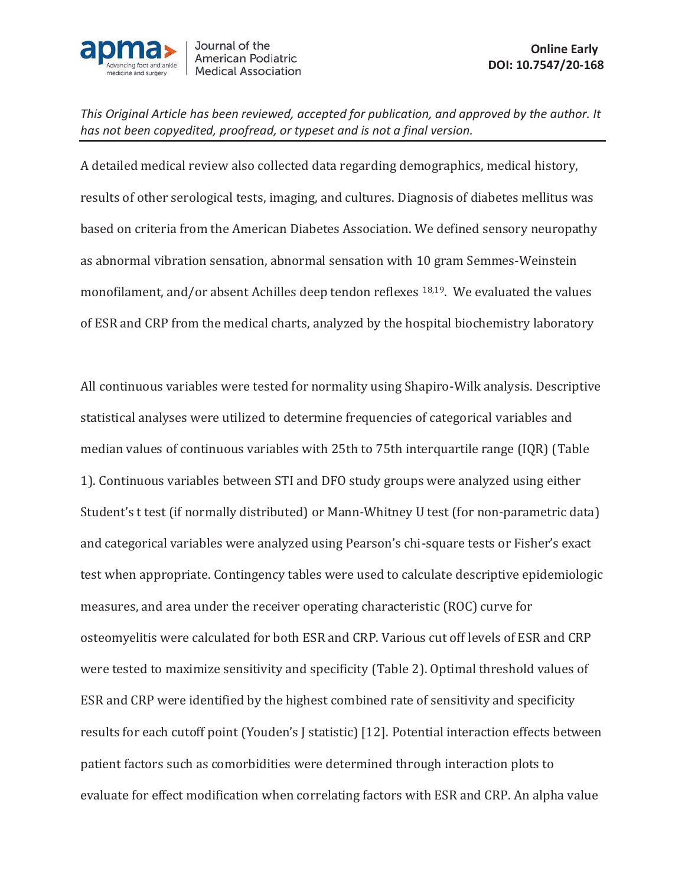

A detailed medical review also collected data regarding demographics, medical history, results of other serological tests, imaging, and cultures. Diagnosis of diabetes mellitus was based on criteria from the American Diabetes Association. We defined sensory neuropathy as abnormal vibration sensation, abnormal sensation with 10 gram Semmes-Weinstein monofilament, and/or absent Achilles deep tendon reflexes 18,19. We evaluated the values of ESR and CRP from the medical charts, analyzed by the hospital biochemistry laboratory

All continuous variables were tested for normality using Shapiro-Wilk analysis. Descriptive statistical analyses were utilized to determine frequencies of categorical variables and median values of continuous variables with 25th to 75th interquartile range (IQR) (Table 1). Continuous variables between STI and DFO study groups were analyzed using either Student's t test (if normally distributed) or Mann-Whitney U test (for non-parametric data) and categorical variables were analyzed using Pearson's chi-square tests or Fisher's exact test when appropriate. Contingency tables were used to calculate descriptive epidemiologic measures, and area under the receiver operating characteristic (ROC) curve for osteomyelitis were calculated for both ESR and CRP. Various cut off levels of ESR and CRP were tested to maximize sensitivity and specificity (Table 2). Optimal threshold values of ESR and CRP were identified by the highest combined rate of sensitivity and specificity results for each cutoff point (Youden's J statistic) [12]. Potential interaction effects between patient factors such as comorbidities were determined through interaction plots to evaluate for effect modification when correlating factors with ESR and CRP. An alpha value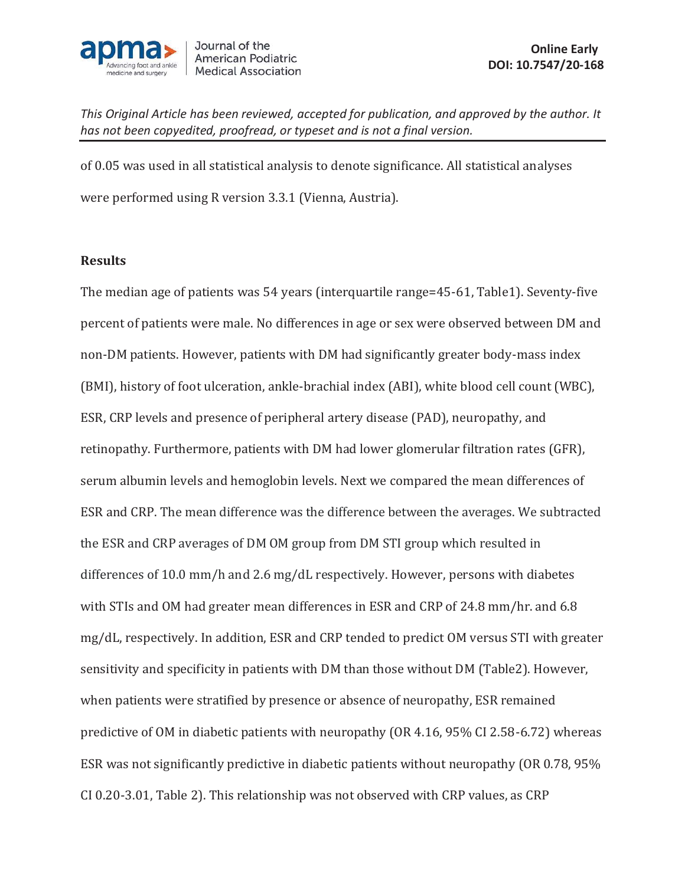

of 0.05 was used in all statistical analysis to denote significance. All statistical analyses were performed using R version 3.3.1 (Vienna, Austria).

## **Results**

The median age of patients was 54 years (interquartile range=45-61, Table1). Seventy-five percent of patients were male. No differences in age or sex were observed between DM and non-DM patients. However, patients with DM had significantly greater body-mass index (BMI), history of foot ulceration, ankle-brachial index (ABI), white blood cell count (WBC), ESR, CRP levels and presence of peripheral artery disease (PAD), neuropathy, and retinopathy. Furthermore, patients with DM had lower glomerular filtration rates (GFR), serum albumin levels and hemoglobin levels. Next we compared the mean differences of ESR and CRP. The mean difference was the difference between the averages. We subtracted the ESR and CRP averages of DM OM group from DM STI group which resulted in differences of 10.0 mm/h and 2.6 mg/dL respectively. However, persons with diabetes with STIs and OM had greater mean differences in ESR and CRP of 24.8 mm/hr. and 6.8 mg/dL, respectively. In addition, ESR and CRP tended to predict OM versus STI with greater sensitivity and specificity in patients with DM than those without DM (Table2). However, when patients were stratified by presence or absence of neuropathy, ESR remained predictive of OM in diabetic patients with neuropathy (OR 4.16, 95% CI 2.58-6.72) whereas ESR was not significantly predictive in diabetic patients without neuropathy (OR 0.78, 95% CI 0.20-3.01, Table 2). This relationship was not observed with CRP values, as CRP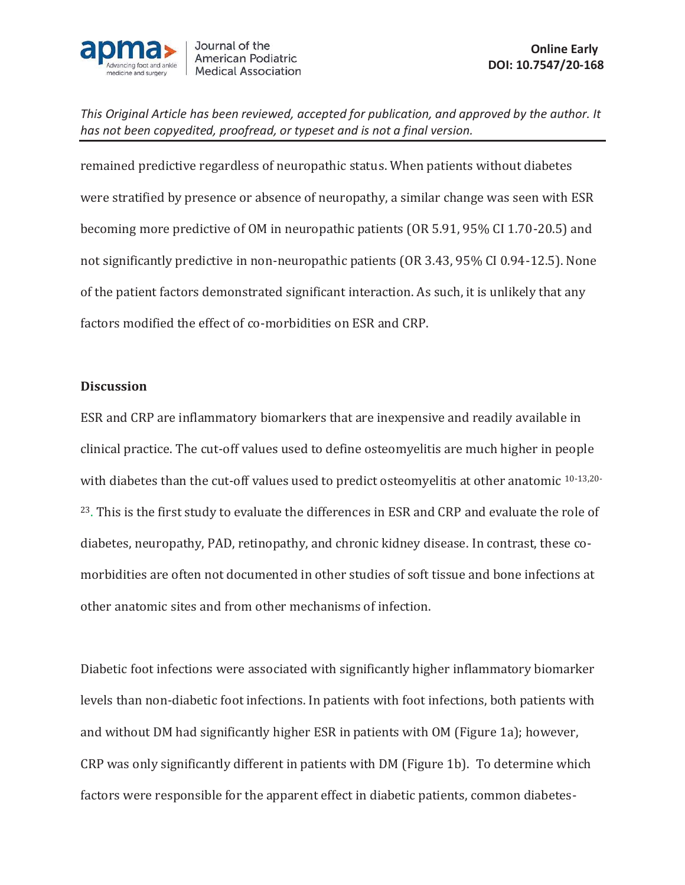

remained predictive regardless of neuropathic status. When patients without diabetes were stratified by presence or absence of neuropathy, a similar change was seen with ESR becoming more predictive of OM in neuropathic patients (OR 5.91, 95% CI 1.70-20.5) and not significantly predictive in non-neuropathic patients (OR 3.43, 95% CI 0.94-12.5). None of the patient factors demonstrated significant interaction. As such, it is unlikely that any factors modified the effect of co-morbidities on ESR and CRP.

### **Discussion**

ESR and CRP are inflammatory biomarkers that are inexpensive and readily available in clinical practice. The cut-off values used to define osteomyelitis are much higher in people with diabetes than the cut-off values used to predict osteomvelitis at other anatomic <sup>10-13,20-</sup> <sup>23</sup>. This is the first study to evaluate the differences in ESR and CRP and evaluate the role of diabetes, neuropathy, PAD, retinopathy, and chronic kidney disease. In contrast, these comorbidities are often not documented in other studies of soft tissue and bone infections at other anatomic sites and from other mechanisms of infection.

Diabetic foot infections were associated with significantly higher inflammatory biomarker levels than non-diabetic foot infections. In patients with foot infections, both patients with and without DM had significantly higher ESR in patients with OM (Figure 1a); however, CRP was only significantly different in patients with DM (Figure 1b). To determine which factors were responsible for the apparent effect in diabetic patients, common diabetes-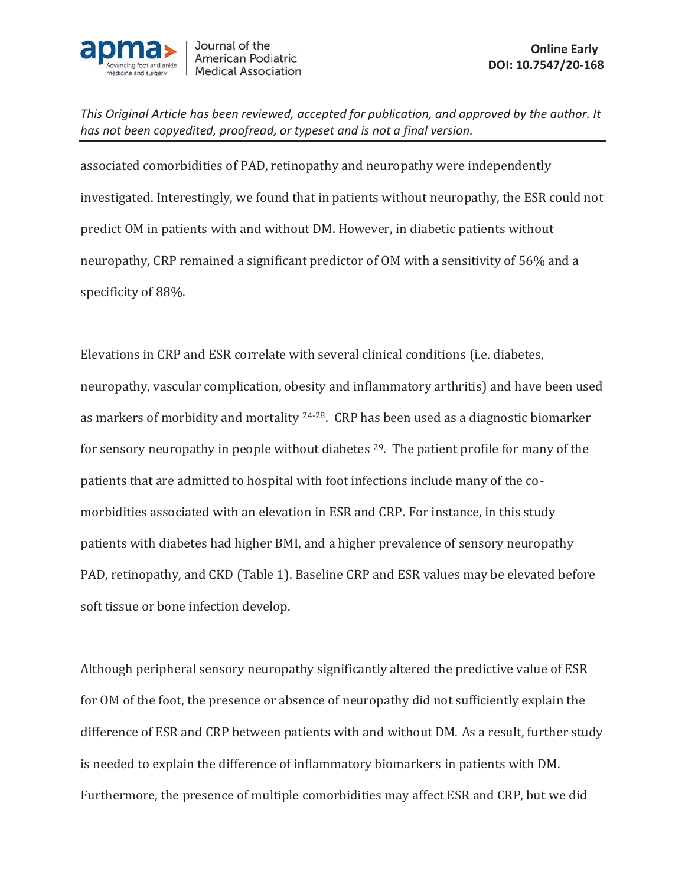

associated comorbidities of PAD, retinopathy and neuropathy were independently investigated. Interestingly, we found that in patients without neuropathy, the ESR could not predict OM in patients with and without DM. However, in diabetic patients without neuropathy, CRP remained a significant predictor of OM with a sensitivity of 56% and a specificity of 88%.

Elevations in CRP and ESR correlate with several clinical conditions (i.e. diabetes, neuropathy, vascular complication, obesity and inflammatory arthritis) and have been used as markers of morbidity and mortality 24-28. CRP has been used as a diagnostic biomarker for sensory neuropathy in people without diabetes <sup>29</sup>. The patient profile for many of the patients that are admitted to hospital with foot infections include many of the comorbidities associated with an elevation in ESR and CRP. For instance, in this study patients with diabetes had higher BMI, and a higher prevalence of sensory neuropathy PAD, retinopathy, and CKD (Table 1). Baseline CRP and ESR values may be elevated before soft tissue or bone infection develop.

Although peripheral sensory neuropathy significantly altered the predictive value of ESR for OM of the foot, the presence or absence of neuropathy did not sufficiently explain the difference of ESR and CRP between patients with and without DM. As a result, further study is needed to explain the difference of inflammatory biomarkers in patients with DM. Furthermore, the presence of multiple comorbidities may affect ESR and CRP, but we did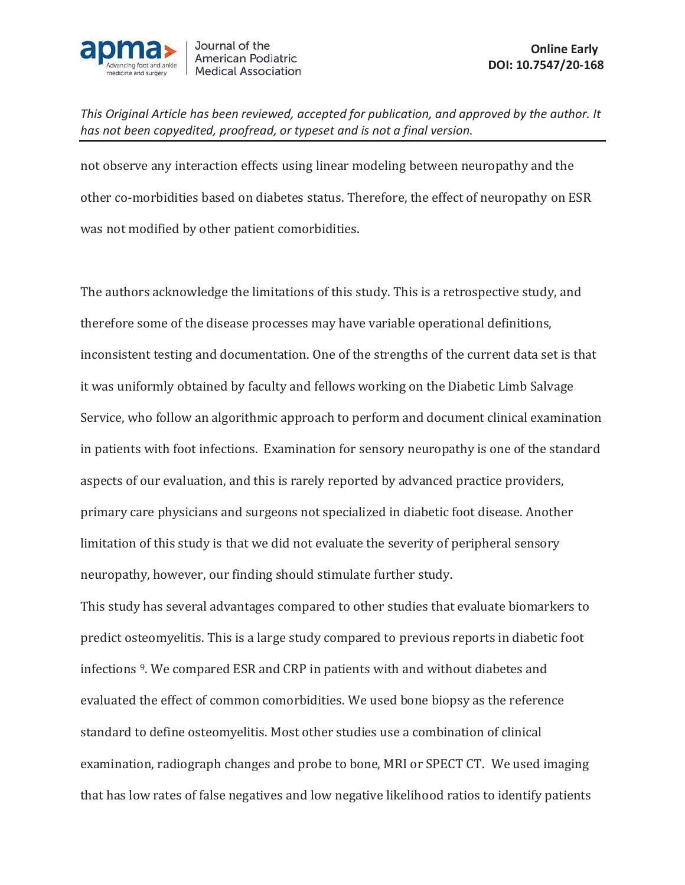

not observe any interaction effects using linear modeling between neuropathy and the other co-morbidities based on diabetes status. Therefore, the effect of neuropathy on ESR was not modified by other patient comorbidities.

The authors acknowledge the limitations of this study. This is a retrospective study, and therefore some of the disease processes may have variable operational definitions, inconsistent testing and documentation. One of the strengths of the current data set is that it was uniformly obtained by faculty and fellows working on the Diabetic Limb Salvage Service, who follow an algorithmic approach to perform and document clinical examination in patients with foot infections. Examination for sensory neuropathy is one of the standard aspects of our evaluation, and this is rarely reported by advanced practice providers, primary care physicians and surgeons not specialized in diabetic foot disease. Another limitation of this study is that we did not evaluate the severity of peripheral sensory neuropathy, however, our finding should stimulate further study.

This study has several advantages compared to other studies that evaluate biomarkers to predict osteomyelitis. This is a large study compared to previous reports in diabetic foot infections 9. We compared ESR and CRP in patients with and without diabetes and evaluated the effect of common comorbidities. We used bone biopsy as the reference standard to define osteomyelitis. Most other studies use a combination of clinical examination, radiograph changes and probe to bone, MRI or SPECT CT. We used imaging that has low rates of false negatives and low negative likelihood ratios to identify patients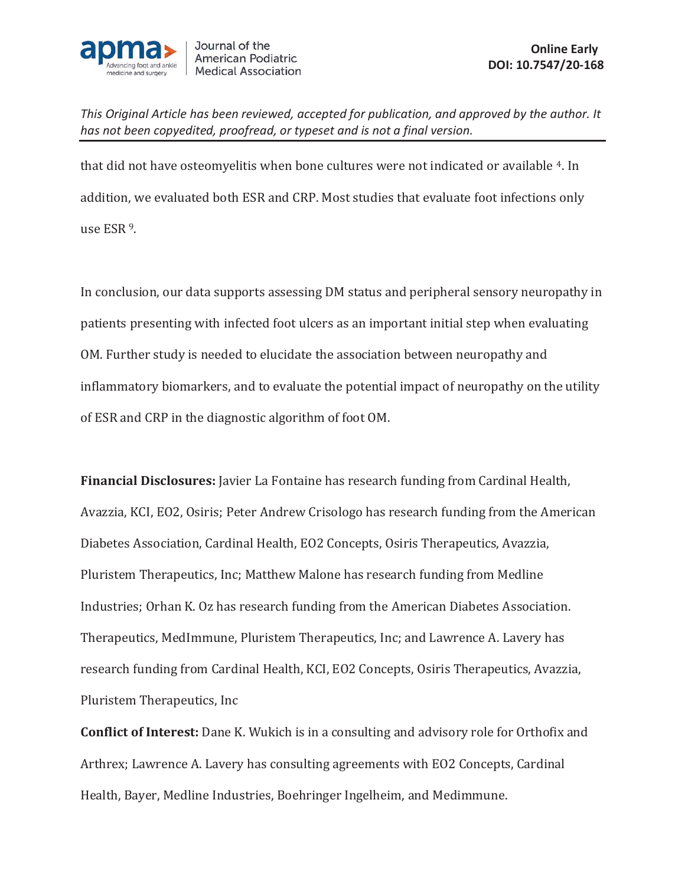

that did not have osteomyelitis when bone cultures were not indicated or available 4. In addition, we evaluated both ESR and CRP. Most studies that evaluate foot infections only use ESR 9.

In conclusion, our data supports assessing DM status and peripheral sensory neuropathy in patients presenting with infected foot ulcers as an important initial step when evaluating OM. Further study is needed to elucidate the association between neuropathy and inflammatory biomarkers, and to evaluate the potential impact of neuropathy on the utility of ESR and CRP in the diagnostic algorithm of foot OM.

**Financial Disclosures:** Javier La Fontaine has research funding from Cardinal Health, Avazzia, KCI, EO2, Osiris; Peter Andrew Crisologo has research funding from the American Diabetes Association, Cardinal Health, EO2 Concepts, Osiris Therapeutics, Avazzia, Pluristem Therapeutics, Inc; Matthew Malone has research funding from Medline Industries; Orhan K. Oz has research funding from the American Diabetes Association. Therapeutics, MedImmune, Pluristem Therapeutics, Inc; and Lawrence A. Lavery has research funding from Cardinal Health, KCI, EO2 Concepts, Osiris Therapeutics, Avazzia, Pluristem Therapeutics, Inc

**Conflict of Interest:** Dane K. Wukich is in a consulting and advisory role for Orthofix and Arthrex; Lawrence A. Lavery has consulting agreements with EO2 Concepts, Cardinal Health, Bayer, Medline Industries, Boehringer Ingelheim, and Medimmune.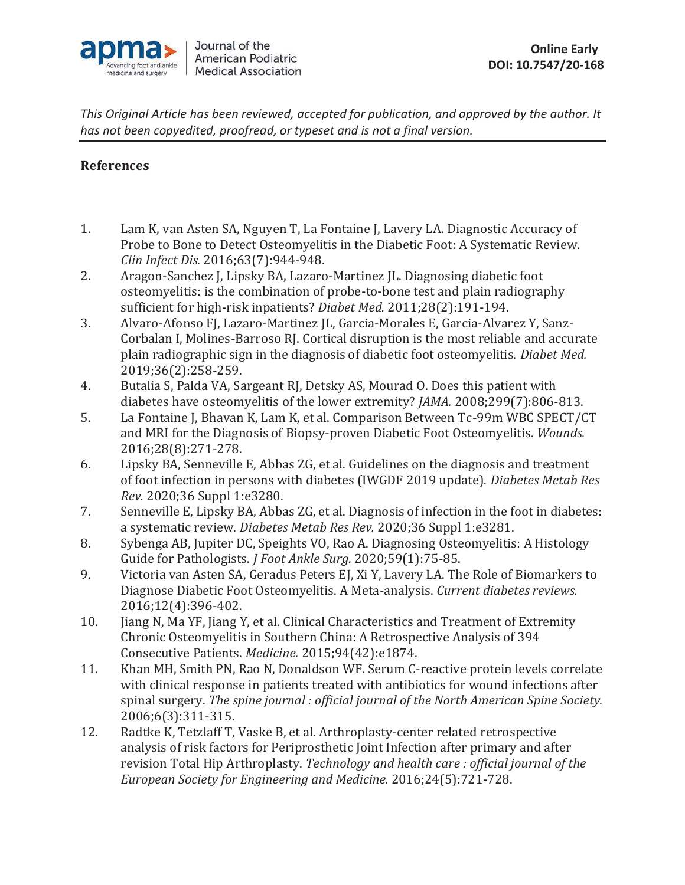

# **References**

- 1. Lam K, van Asten SA, Nguyen T, La Fontaine J, Lavery LA. Diagnostic Accuracy of Probe to Bone to Detect Osteomyelitis in the Diabetic Foot: A Systematic Review. *Clin Infect Dis.* 2016;63(7):944-948.
- 2. Aragon-Sanchez J, Lipsky BA, Lazaro-Martinez JL. Diagnosing diabetic foot osteomyelitis: is the combination of probe-to-bone test and plain radiography sufficient for high-risk inpatients? *Diabet Med.* 2011;28(2):191-194.
- 3. Alvaro-Afonso FJ, Lazaro-Martinez JL, Garcia-Morales E, Garcia-Alvarez Y, Sanz-Corbalan I, Molines-Barroso RJ. Cortical disruption is the most reliable and accurate plain radiographic sign in the diagnosis of diabetic foot osteomyelitis. *Diabet Med.*  2019;36(2):258-259.
- 4. Butalia S, Palda VA, Sargeant RJ, Detsky AS, Mourad O. Does this patient with diabetes have osteomyelitis of the lower extremity? *JAMA.* 2008;299(7):806-813.
- 5. La Fontaine J, Bhavan K, Lam K, et al. Comparison Between Tc-99m WBC SPECT/CT and MRI for the Diagnosis of Biopsy-proven Diabetic Foot Osteomyelitis. *Wounds.*  2016;28(8):271-278.
- 6. Lipsky BA, Senneville E, Abbas ZG, et al. Guidelines on the diagnosis and treatment of foot infection in persons with diabetes (IWGDF 2019 update). *Diabetes Metab Res Rev.* 2020;36 Suppl 1:e3280.
- 7. Senneville E, Lipsky BA, Abbas ZG, et al. Diagnosis of infection in the foot in diabetes: a systematic review. *Diabetes Metab Res Rev.* 2020;36 Suppl 1:e3281.
- 8. Sybenga AB, Jupiter DC, Speights VO, Rao A. Diagnosing Osteomyelitis: A Histology Guide for Pathologists. *J Foot Ankle Surg.* 2020;59(1):75-85.
- 9. Victoria van Asten SA, Geradus Peters EJ, Xi Y, Lavery LA. The Role of Biomarkers to Diagnose Diabetic Foot Osteomyelitis. A Meta-analysis. *Current diabetes reviews.*  2016;12(4):396-402.
- 10. Jiang N, Ma YF, Jiang Y, et al. Clinical Characteristics and Treatment of Extremity Chronic Osteomyelitis in Southern China: A Retrospective Analysis of 394 Consecutive Patients. *Medicine.* 2015;94(42):e1874.
- 11. Khan MH, Smith PN, Rao N, Donaldson WF. Serum C-reactive protein levels correlate with clinical response in patients treated with antibiotics for wound infections after spinal surgery. *The spine journal : official journal of the North American Spine Society.*  2006;6(3):311-315.
- 12. Radtke K, Tetzlaff T, Vaske B, et al. Arthroplasty-center related retrospective analysis of risk factors for Periprosthetic Joint Infection after primary and after revision Total Hip Arthroplasty. *Technology and health care : official journal of the European Society for Engineering and Medicine.* 2016;24(5):721-728.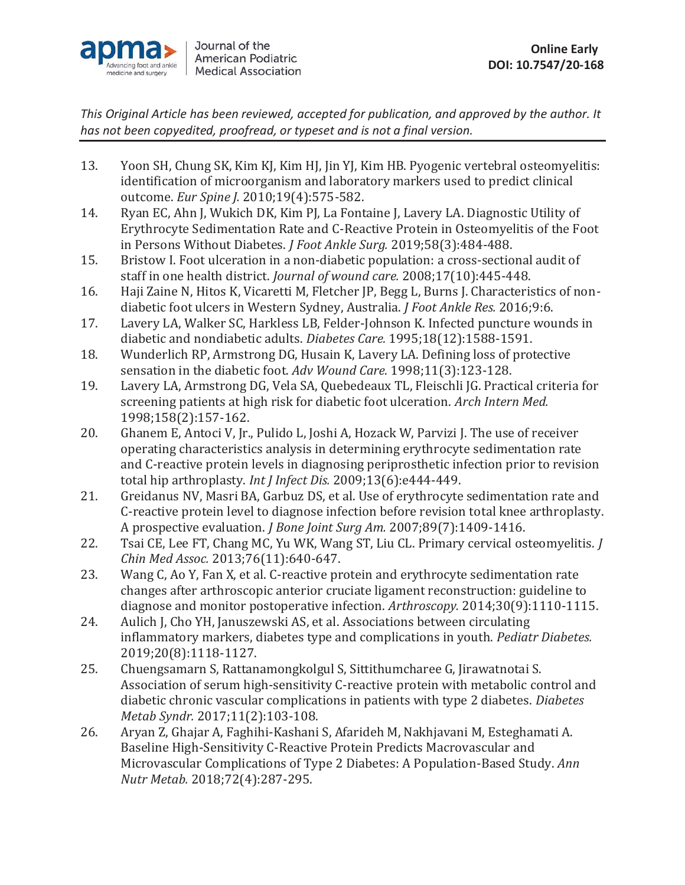

- 13. Yoon SH, Chung SK, Kim KJ, Kim HJ, Jin YJ, Kim HB. Pyogenic vertebral osteomyelitis: identification of microorganism and laboratory markers used to predict clinical outcome. *Eur Spine J.* 2010;19(4):575-582.
- 14. Ryan EC, Ahn J, Wukich DK, Kim PJ, La Fontaine J, Lavery LA. Diagnostic Utility of Erythrocyte Sedimentation Rate and C-Reactive Protein in Osteomyelitis of the Foot in Persons Without Diabetes. *J Foot Ankle Surg.* 2019;58(3):484-488.
- 15. Bristow I. Foot ulceration in a non-diabetic population: a cross-sectional audit of staff in one health district. *Journal of wound care.* 2008;17(10):445-448.
- 16. Haji Zaine N, Hitos K, Vicaretti M, Fletcher JP, Begg L, Burns J. Characteristics of nondiabetic foot ulcers in Western Sydney, Australia. *J Foot Ankle Res.* 2016;9:6.
- 17. Lavery LA, Walker SC, Harkless LB, Felder-Johnson K. Infected puncture wounds in diabetic and nondiabetic adults. *Diabetes Care.* 1995;18(12):1588-1591.
- 18. Wunderlich RP, Armstrong DG, Husain K, Lavery LA. Defining loss of protective sensation in the diabetic foot. *Adv Wound Care.* 1998;11(3):123-128.
- 19. Lavery LA, Armstrong DG, Vela SA, Quebedeaux TL, Fleischli JG. Practical criteria for screening patients at high risk for diabetic foot ulceration. *Arch Intern Med.*  1998;158(2):157-162.
- 20. Ghanem E, Antoci V, Jr., Pulido L, Joshi A, Hozack W, Parvizi J. The use of receiver operating characteristics analysis in determining erythrocyte sedimentation rate and C-reactive protein levels in diagnosing periprosthetic infection prior to revision total hip arthroplasty. *Int J Infect Dis.* 2009;13(6):e444-449.
- 21. Greidanus NV, Masri BA, Garbuz DS, et al. Use of erythrocyte sedimentation rate and C-reactive protein level to diagnose infection before revision total knee arthroplasty. A prospective evaluation. *J Bone Joint Surg Am.* 2007;89(7):1409-1416.
- 22. Tsai CE, Lee FT, Chang MC, Yu WK, Wang ST, Liu CL. Primary cervical osteomyelitis. *J Chin Med Assoc.* 2013;76(11):640-647.
- 23. Wang C, Ao Y, Fan X, et al. C-reactive protein and erythrocyte sedimentation rate changes after arthroscopic anterior cruciate ligament reconstruction: guideline to diagnose and monitor postoperative infection. *Arthroscopy.* 2014;30(9):1110-1115.
- 24. Aulich J, Cho YH, Januszewski AS, et al. Associations between circulating inflammatory markers, diabetes type and complications in youth. *Pediatr Diabetes.*  2019;20(8):1118-1127.
- 25. Chuengsamarn S, Rattanamongkolgul S, Sittithumcharee G, Jirawatnotai S. Association of serum high-sensitivity C-reactive protein with metabolic control and diabetic chronic vascular complications in patients with type 2 diabetes. *Diabetes Metab Syndr.* 2017;11(2):103-108.
- 26. Aryan Z, Ghajar A, Faghihi-Kashani S, Afarideh M, Nakhjavani M, Esteghamati A. Baseline High-Sensitivity C-Reactive Protein Predicts Macrovascular and Microvascular Complications of Type 2 Diabetes: A Population-Based Study. *Ann Nutr Metab.* 2018;72(4):287-295.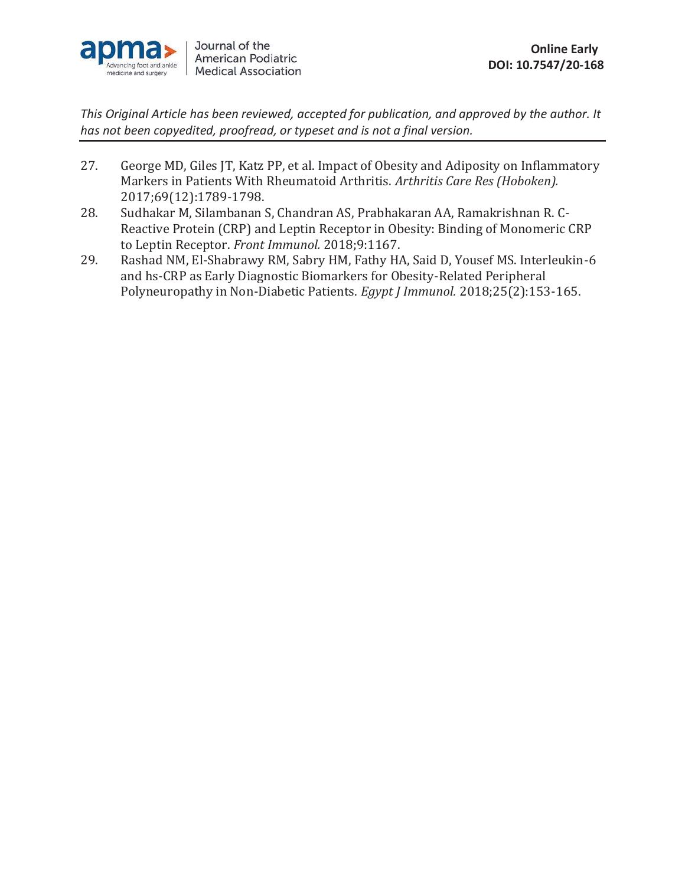

- 27. George MD, Giles JT, Katz PP, et al. Impact of Obesity and Adiposity on Inflammatory Markers in Patients With Rheumatoid Arthritis. *Arthritis Care Res (Hoboken).*  2017;69(12):1789-1798.
- 28. Sudhakar M, Silambanan S, Chandran AS, Prabhakaran AA, Ramakrishnan R. C-Reactive Protein (CRP) and Leptin Receptor in Obesity: Binding of Monomeric CRP to Leptin Receptor. *Front Immunol.* 2018;9:1167.
- 29. Rashad NM, El-Shabrawy RM, Sabry HM, Fathy HA, Said D, Yousef MS. Interleukin-6 and hs-CRP as Early Diagnostic Biomarkers for Obesity-Related Peripheral Polyneuropathy in Non-Diabetic Patients. *Egypt J Immunol.* 2018;25(2):153-165.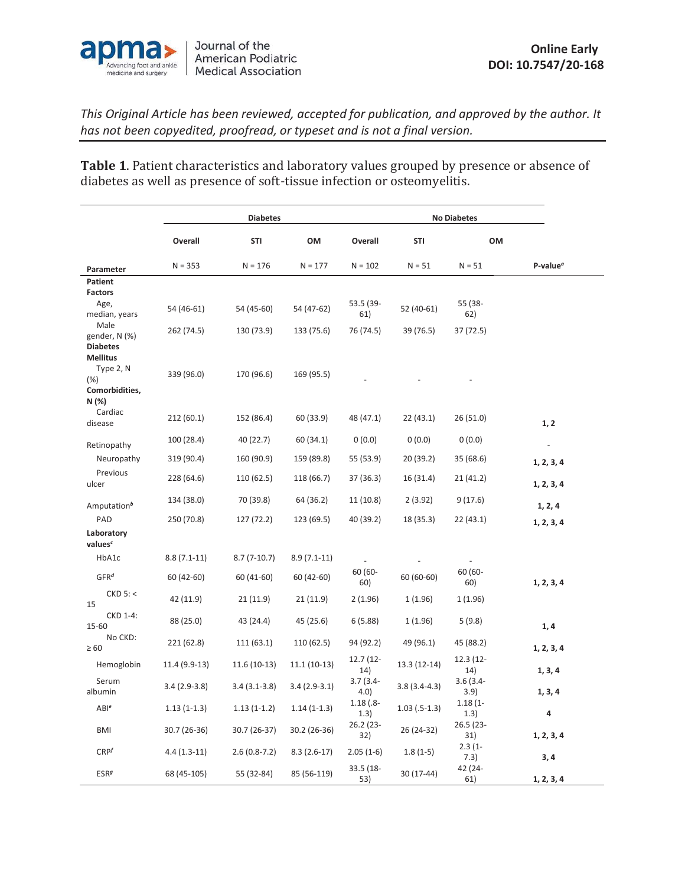

**Table 1**. Patient characteristics and laboratory values grouped by presence or absence of diabetes as well as presence of soft-tissue infection or osteomyelitis.

|                                                                   |                | <b>Diabetes</b> |                |                      |                 |                     |                  |
|-------------------------------------------------------------------|----------------|-----------------|----------------|----------------------|-----------------|---------------------|------------------|
|                                                                   | Overall        | <b>STI</b>      | OM             | Overall              | <b>STI</b>      | OM                  |                  |
| Parameter                                                         | $N = 353$      | $N = 176$       | $N = 177$      | $N = 102$            | $N = 51$        | $N = 51$            | P-value $\sigma$ |
| Patient                                                           |                |                 |                |                      |                 |                     |                  |
| <b>Factors</b><br>Age,<br>median, years                           | 54 (46-61)     | 54 (45-60)      | 54 (47-62)     | 53.5 (39-<br>61)     | 52 (40-61)      | 55 (38-<br>62)      |                  |
| Male<br>gender, N (%)<br><b>Diabetes</b>                          | 262 (74.5)     | 130 (73.9)      | 133 (75.6)     | 76 (74.5)            | 39 (76.5)       | 37 (72.5)           |                  |
| <b>Mellitus</b><br>Type 2, N<br>$(\%)$<br>Comorbidities,<br>N (%) | 339 (96.0)     | 170 (96.6)      | 169 (95.5)     |                      |                 |                     |                  |
| Cardiac<br>disease                                                | 212(60.1)      | 152 (86.4)      | 60 (33.9)      | 48 (47.1)            | 22(43.1)        | 26(51.0)            | 1, 2             |
| Retinopathy                                                       | 100 (28.4)     | 40 (22.7)       | 60 (34.1)      | 0(0.0)               | 0(0.0)          | 0(0.0)              | $\overline{a}$   |
| Neuropathy                                                        | 319 (90.4)     | 160 (90.9)      | 159 (89.8)     | 55 (53.9)            | 20 (39.2)       | 35(68.6)            | 1, 2, 3, 4       |
| Previous<br>ulcer                                                 | 228 (64.6)     | 110 (62.5)      | 118 (66.7)     | 37 (36.3)            | 16 (31.4)       | 21 (41.2)           | 1, 2, 3, 4       |
| Amputation <sup>b</sup>                                           | 134 (38.0)     | 70 (39.8)       | 64 (36.2)      | 11 (10.8)            | 2(3.92)         | 9(17.6)             | 1, 2, 4          |
| PAD                                                               | 250 (70.8)     | 127 (72.2)      | 123 (69.5)     | 40 (39.2)            | 18 (35.3)       | 22 (43.1)           | 1, 2, 3, 4       |
| Laboratory<br>values <sup>c</sup>                                 |                |                 |                |                      |                 |                     |                  |
| HbA1c                                                             | $8.8(7.1-11)$  | $8.7(7-10.7)$   | $8.9(7.1-11)$  |                      |                 |                     |                  |
| GFR <sup>d</sup>                                                  | 60 (42-60)     | 60 (41-60)      | 60 (42-60)     | 60 (60-<br>60)       | $60(60-60)$     | 60 (60-<br>60)      | 1, 2, 3, 4       |
| $CKD$ 5: <<br>15                                                  | 42 (11.9)      | 21 (11.9)       | 21(11.9)       | 2(1.96)              | 1(1.96)         | 1 (1.96)            |                  |
| CKD 1-4:<br>15-60                                                 | 88 (25.0)      | 43 (24.4)       | 45 (25.6)      | 6(5.88)              | 1(1.96)         | 5(9.8)              | 1,4              |
| No CKD:<br>$\geq 60$                                              | 221 (62.8)     | 111(63.1)       | 110 (62.5)     | 94 (92.2)            | 49 (96.1)       | 45 (88.2)           | 1, 2, 3, 4       |
| Hemoglobin                                                        | 11.4 (9.9-13)  | $11.6(10-13)$   | $11.1(10-13)$  | 12.7 (12-<br>14)     | 13.3 (12-14)    | 12.3 (12-<br>14)    | 1, 3, 4          |
| Serum<br>albumin                                                  | $3.4(2.9-3.8)$ | $3.4(3.1-3.8)$  | $3.4(2.9-3.1)$ | $3.7(3.4 -$<br>4.0)  | $3.8(3.4-4.3)$  | $3.6(3.4 -$<br>3.9) | 1, 3, 4          |
| ABI <sup>e</sup>                                                  | $1.13(1-1.3)$  | $1.13(1-1.2)$   | $1.14(1-1.3)$  | $1.18(.8 -$<br>(1.3) | $1.03$ (.5-1.3) | $1.18(1 -$<br>(1.3) | 4                |
| <b>BMI</b>                                                        | 30.7 (26-36)   | 30.7 (26-37)    | 30.2 (26-36)   | 26.2 (23-<br>32)     | 26 (24-32)      | 26.5 (23-<br>31)    | 1, 2, 3, 4       |
| CRP <sup>f</sup>                                                  | $4.4(1.3-11)$  | $2.6(0.8-7.2)$  | $8.3(2.6-17)$  | $2.05(1-6)$          | $1.8(1-5)$      | $2.3(1 -$<br>7.3)   | 3,4              |
| <b>ESR</b> <sup>g</sup>                                           | 68 (45-105)    | 55 (32-84)      | 85 (56-119)    | 33.5 (18-<br>53)     | 30 (17-44)      | 42 (24-<br>61)      | 1, 2, 3, 4       |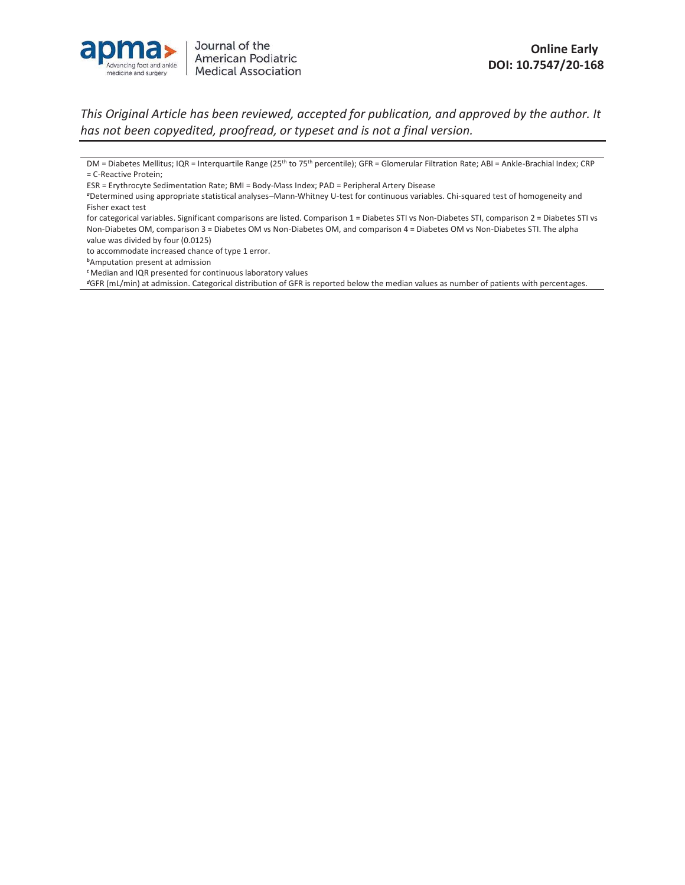

to accommodate increased chance of type 1 error.

*<sup>c</sup>*Median and IQR presented for continuous laboratory values

*<sup>d</sup>*GFR (mL/min) at admission. Categorical distribution of GFR is reported below the median values as number of patients with percentages.

DM = Diabetes Mellitus; IQR = Interquartile Range (25<sup>th</sup> to 75<sup>th</sup> percentile); GFR = Glomerular Filtration Rate; ABI = Ankle-Brachial Index; CRP = C-Reactive Protein;

ESR = Erythrocyte Sedimentation Rate; BMI = Body-Mass Index; PAD = Peripheral Artery Disease

*<sup>a</sup>*Determined using appropriate statistical analyses–Mann-Whitney U-test for continuous variables. Chi-squared test of homogeneity and Fisher exact test

for categorical variables. Significant comparisons are listed. Comparison 1 = Diabetes STI vs Non-Diabetes STI, comparison 2 = Diabetes STI vs Non-Diabetes OM, comparison 3 = Diabetes OM vs Non-Diabetes OM, and comparison 4 = Diabetes OM vs Non-Diabetes STI. The alpha value was divided by four (0.0125)

*<sup>b</sup>*Amputation present at admission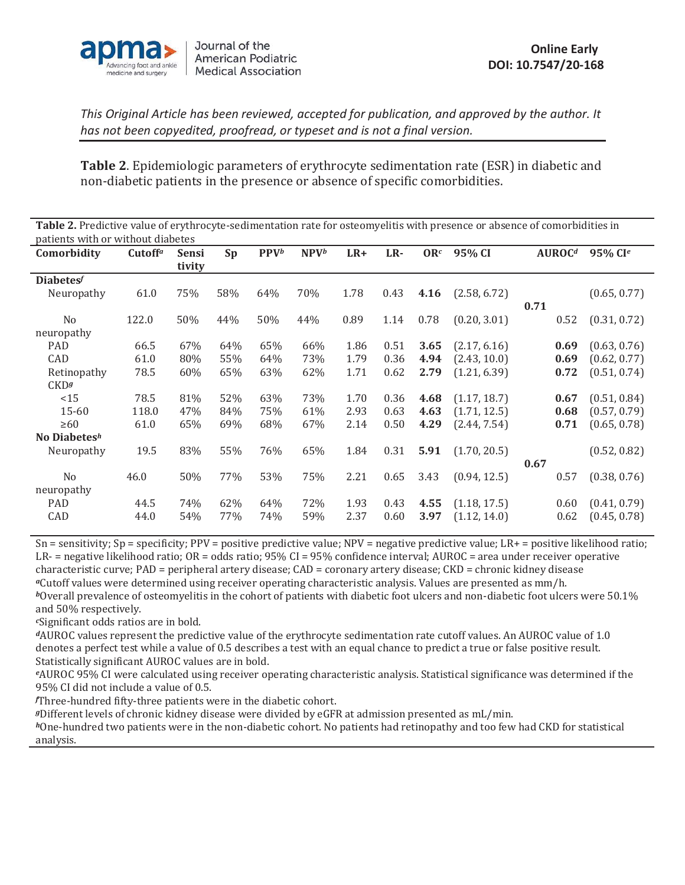

**Table 2**. Epidemiologic parameters of erythrocyte sedimentation rate (ESR) in diabetic and non-diabetic patients in the presence or absence of specific comorbidities.

| Table 2. Predictive value of erythrocyte-sedimentation rate for osteomyelitis with presence or absence of comorbidities in<br>patients with or without diabetes |                     |                        |     |         |                  |       |      |      |              |                    |                        |
|-----------------------------------------------------------------------------------------------------------------------------------------------------------------|---------------------|------------------------|-----|---------|------------------|-------|------|------|--------------|--------------------|------------------------|
| Comorbidity                                                                                                                                                     | Cutoff <sup>a</sup> | <b>Sensi</b><br>tivity | Sp  | $PPV^b$ | NPV <sup>b</sup> | $LR+$ | LR-  |      | $ORc$ 95% CI | AUROC <sup>d</sup> | $95\%$ CI <sup>e</sup> |
| <b>Diabetes</b>                                                                                                                                                 |                     |                        |     |         |                  |       |      |      |              |                    |                        |
| Neuropathy                                                                                                                                                      | 61.0                | 75%                    | 58% | 64%     | 70%              | 1.78  | 0.43 | 4.16 | (2.58, 6.72) | 0.71               | (0.65, 0.77)           |
| N <sub>0</sub><br>neuropathy                                                                                                                                    | 122.0               | 50%                    | 44% | 50%     | 44%              | 0.89  | 1.14 | 0.78 | (0.20, 3.01) | 0.52               | (0.31, 0.72)           |
| <b>PAD</b>                                                                                                                                                      | 66.5                | 67%                    | 64% | 65%     | 66%              | 1.86  | 0.51 | 3.65 | (2.17, 6.16) | 0.69               | (0.63, 0.76)           |
| CAD                                                                                                                                                             | 61 Q                | 80%                    | 55% | 64%     | 73%              | 179   | 0 36 | 494  | (2.43.10.0)  | በ 69               | (0.62, 0.77)           |

| CAD             | 61.0  | 80% | 55%             | 64% | 73% | 1.79 | 0.36 | 4.94 | (2.43, 10.0) |      | 0.69 | (0.62, 0.77) |
|-----------------|-------|-----|-----------------|-----|-----|------|------|------|--------------|------|------|--------------|
| Retinopathy     | 78.5  | 60% | 65%             | 63% | 62% | 1.71 | 0.62 | 2.79 | (1.21, 6.39) |      | 0.72 | (0.51, 0.74) |
| CKD9            |       |     |                 |     |     |      |      |      |              |      |      |              |
| <15             | 78.5  | 81% | 52%             | 63% | 73% | 1.70 | 0.36 | 4.68 | (1.17, 18.7) |      | 0.67 | (0.51, 0.84) |
| $15 - 60$       | 118.0 | 47% | 84%             | 75% | 61% | 2.93 | 0.63 | 4.63 | (1.71, 12.5) |      | 0.68 | (0.57, 0.79) |
| $\geq 60$       | 61.0  | 65% | 69%             | 68% | 67% | 2.14 | 0.50 | 4.29 | (2.44, 7.54) |      | 0.71 | (0.65, 0.78) |
| No Diabetes $h$ |       |     |                 |     |     |      |      |      |              |      |      |              |
| Neuropathy      | 19.5  | 83% | 55%             | 76% | 65% | 1.84 | 0.31 | 5.91 | (1.70, 20.5) |      |      | (0.52, 0.82) |
|                 |       |     |                 |     |     |      |      |      |              | 0.67 |      |              |
| N <sub>0</sub>  | 46.0  | 50% | 77%             | 53% | 75% | 2.21 | 0.65 | 3.43 | (0.94, 12.5) |      | 0.57 | (0.38, 0.76) |
| neuropathy      |       |     |                 |     |     |      |      |      |              |      |      |              |
| <b>PAD</b>      | 44.5  | 74% | 62%             | 64% | 72% | 1.93 | 0.43 | 4.55 | (1.18, 17.5) |      | 0.60 | (0.41, 0.79) |
| CAD             | 44.0  | 54% | 77 <sub>%</sub> | 74% | 59% | 2.37 | 0.60 | 3.97 | (1.12, 14.0) |      | 0.62 | (0.45, 0.78) |

Sn = sensitivity; Sp = specificity; PPV = positive predictive value; NPV = negative predictive value; LR+ = positive likelihood ratio; LR- = negative likelihood ratio; OR = odds ratio; 95% CI = 95% confidence interval; AUROC = area under receiver operative characteristic curve; PAD = peripheral artery disease; CAD = coronary artery disease; CKD = chronic kidney disease *<sup>a</sup>*Cutoff values were determined using receiver operating characteristic analysis. Values are presented as mm/h.

*<sup>b</sup>*Overall prevalence of osteomyelitis in the cohort of patients with diabetic foot ulcers and non-diabetic foot ulcers were 50.1% and 50% respectively.

*<sup>c</sup>*Significant odds ratios are in bold.

*<sup>d</sup>*AUROC values represent the predictive value of the erythrocyte sedimentation rate cutoff values. An AUROC value of 1.0 denotes a perfect test while a value of 0.5 describes a test with an equal chance to predict a true or false positive result. Statistically significant AUROC values are in bold.

*<sup>e</sup>*AUROC 95% CI were calculated using receiver operating characteristic analysis. Statistical significance was determined if the 95% CI did not include a value of 0.5.

*f* Three-hundred fifty-three patients were in the diabetic cohort.

*<sup>g</sup>*Different levels of chronic kidney disease were divided by eGFR at admission presented as mL/min.

*<sup>h</sup>*One-hundred two patients were in the non-diabetic cohort. No patients had retinopathy and too few had CKD for statistical analysis.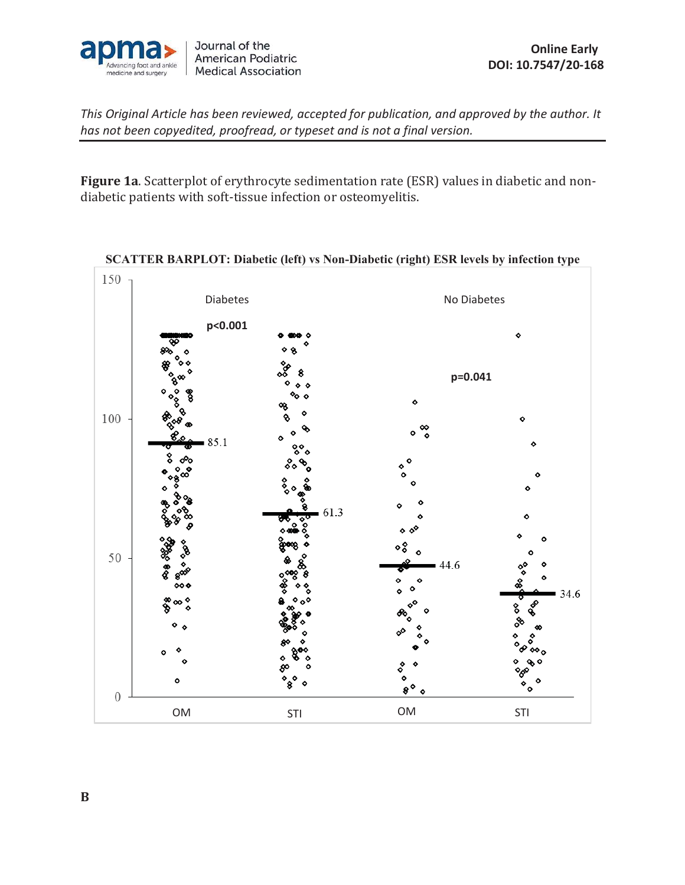

**Figure 1a**. Scatterplot of erythrocyte sedimentation rate (ESR) values in diabetic and nondiabetic patients with soft-tissue infection or osteomyelitis.



**SCATTER BARPLOT: Diabetic (left) vs Non-Diabetic (right) ESR levels by infection type**